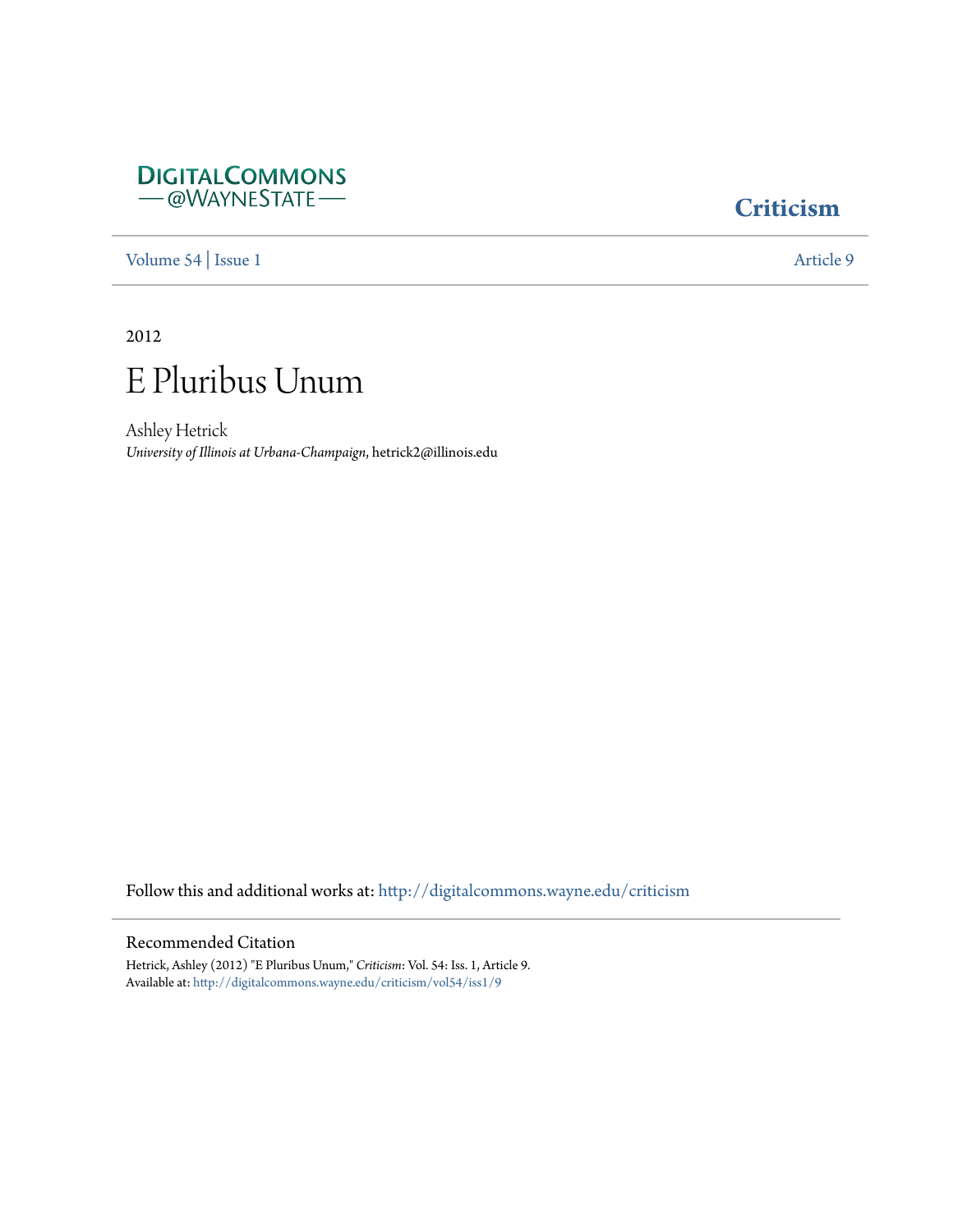## **DIGITALCOMMONS** -@WAYNESTATE-

## **[Criticism](http://digitalcommons.wayne.edu/criticism?utm_source=digitalcommons.wayne.edu%2Fcriticism%2Fvol54%2Fiss1%2F9&utm_medium=PDF&utm_campaign=PDFCoverPages)**

[Volume 54](http://digitalcommons.wayne.edu/criticism/vol54?utm_source=digitalcommons.wayne.edu%2Fcriticism%2Fvol54%2Fiss1%2F9&utm_medium=PDF&utm_campaign=PDFCoverPages) | [Issue 1](http://digitalcommons.wayne.edu/criticism/vol54/iss1?utm_source=digitalcommons.wayne.edu%2Fcriticism%2Fvol54%2Fiss1%2F9&utm_medium=PDF&utm_campaign=PDFCoverPages) [Article 9](http://digitalcommons.wayne.edu/criticism/vol54/iss1/9?utm_source=digitalcommons.wayne.edu%2Fcriticism%2Fvol54%2Fiss1%2F9&utm_medium=PDF&utm_campaign=PDFCoverPages)

2012

# E Pluribus Unum

Ashley Hetrick *University of Illinois at Urbana-Champaign*, hetrick2@illinois.edu

Follow this and additional works at: [http://digitalcommons.wayne.edu/criticism](http://digitalcommons.wayne.edu/criticism?utm_source=digitalcommons.wayne.edu%2Fcriticism%2Fvol54%2Fiss1%2F9&utm_medium=PDF&utm_campaign=PDFCoverPages)

### Recommended Citation

Hetrick, Ashley (2012) "E Pluribus Unum," *Criticism*: Vol. 54: Iss. 1, Article 9. Available at: [http://digitalcommons.wayne.edu/criticism/vol54/iss1/9](http://digitalcommons.wayne.edu/criticism/vol54/iss1/9?utm_source=digitalcommons.wayne.edu%2Fcriticism%2Fvol54%2Fiss1%2F9&utm_medium=PDF&utm_campaign=PDFCoverPages)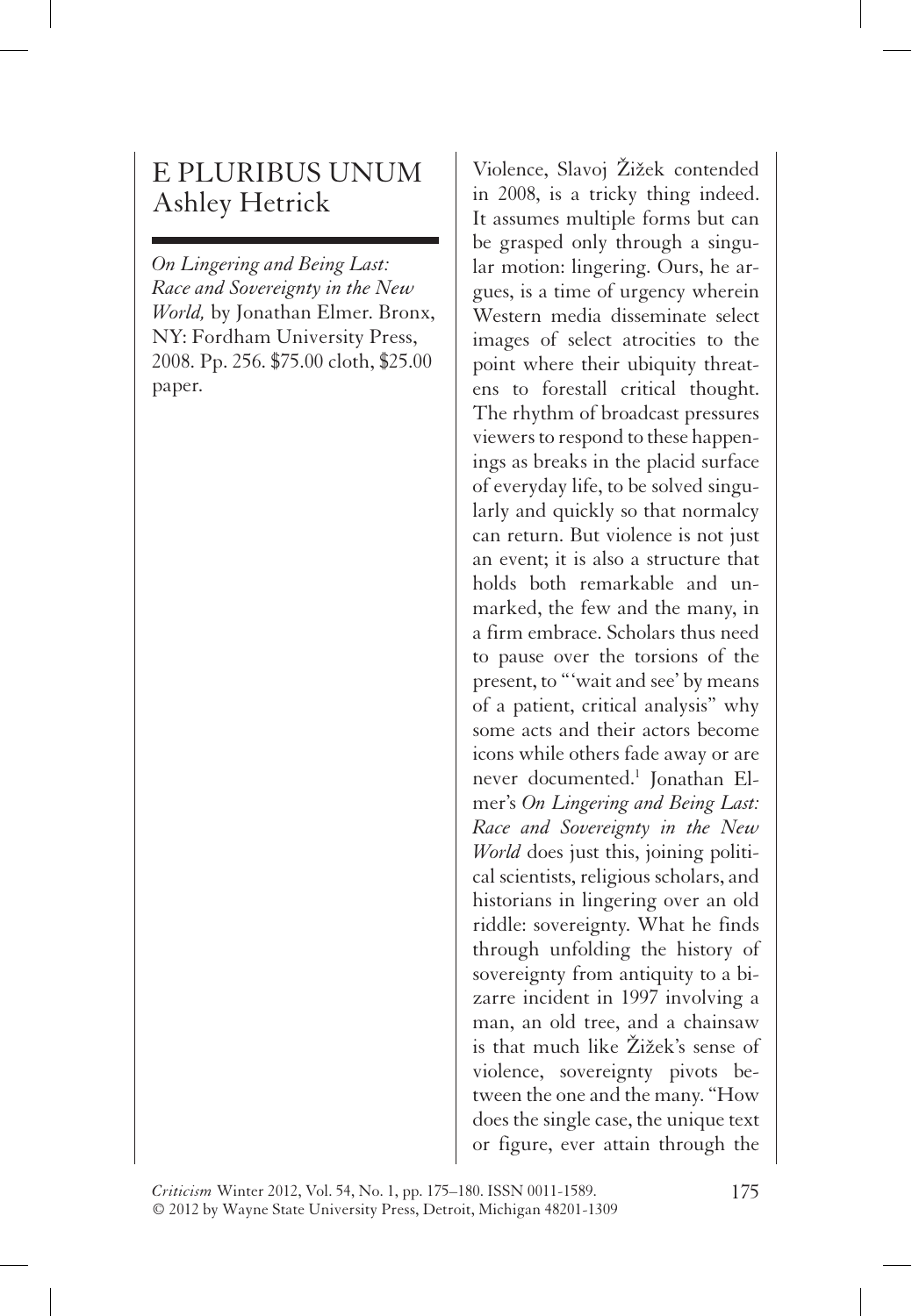## E Pluribus Unum Ashley Hetrick

*On Lingering and Being Last: Race and Sovereignty in the New World,* by Jonathan Elmer. Bronx, NY: Fordham University Press, 2008. Pp. 256. \$75.00 cloth, \$25.00 paper.

Violence, Slavoj Žižek contended in 2008, is a tricky thing indeed. It assumes multiple forms but can be grasped only through a singular motion: lingering. Ours, he argues, is a time of urgency wherein Western media disseminate select images of select atrocities to the point where their ubiquity threatens to forestall critical thought. The rhythm of broadcast pressures viewers to respond to these happenings as breaks in the placid surface of everyday life, to be solved singularly and quickly so that normalcy can return. But violence is not just an event; it is also a structure that holds both remarkable and unmarked, the few and the many, in a firm embrace. Scholars thus need to pause over the torsions of the present, to "'wait and see' by means of a patient, critical analysis" why some acts and their actors become icons while others fade away or are never documented.1 Jonathan Elmer's *On Lingering and Being Last: Race and Sovereignty in the New World* does just this, joining political scientists, religious scholars, and historians in lingering over an old riddle: sovereignty. What he finds through unfolding the history of sovereignty from antiquity to a bizarre incident in 1997 involving a man, an old tree, and a chainsaw is that much like Žižek's sense of violence, sovereignty pivots between the one and the many. "How does the single case, the unique text or figure, ever attain through the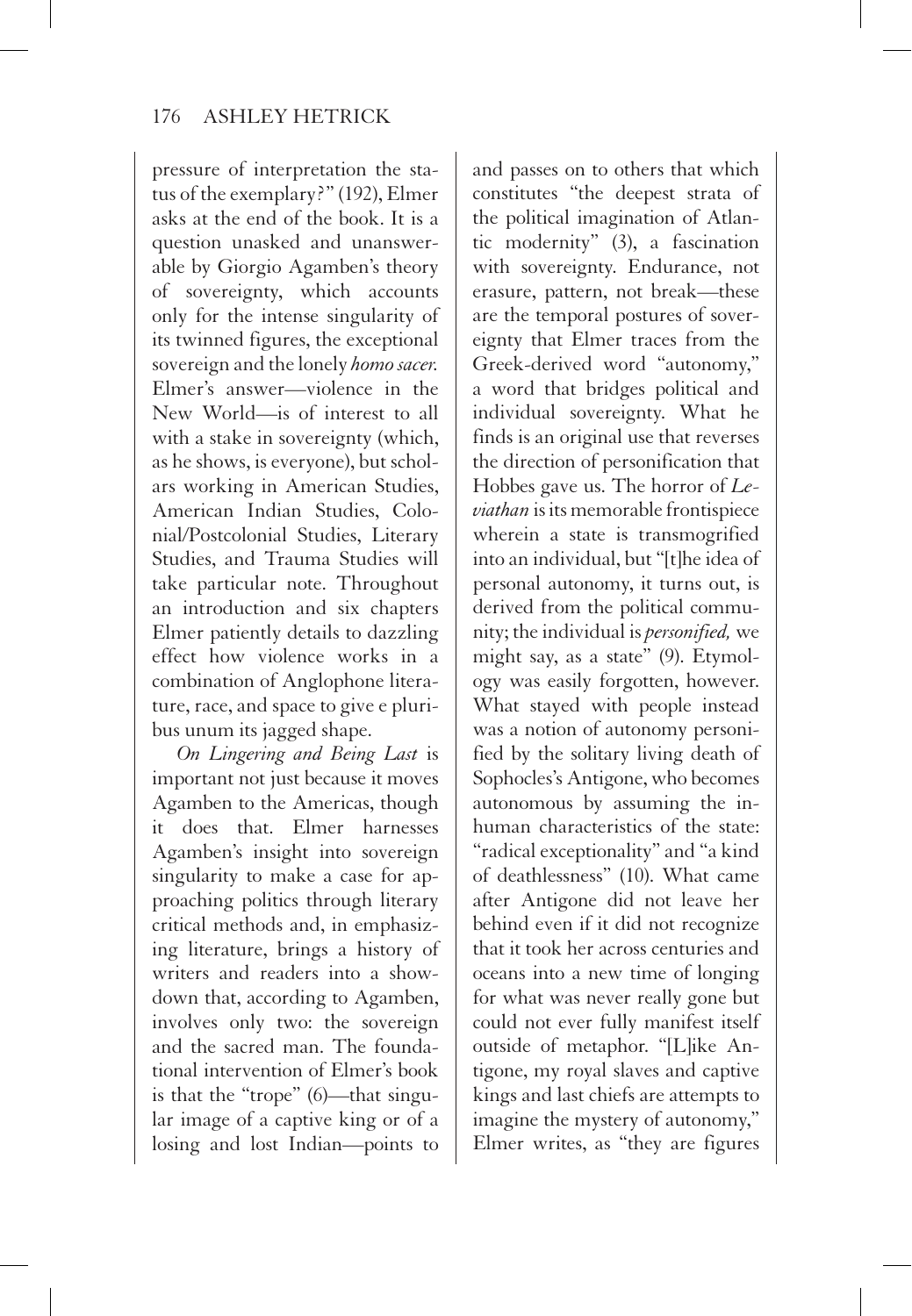pressure of interpretation the status of the exemplary?" (192), Elmer asks at the end of the book. It is a question unasked and unanswerable by Giorgio Agamben's theory of sovereignty, which accounts only for the intense singularity of its twinned figures, the exceptional sovereign and the lonely *homo sacer.* Elmer's answer—violence in the New World—is of interest to all with a stake in sovereignty (which, as he shows, is everyone), but scholars working in American Studies, American Indian Studies, Colonial/Postcolonial Studies, Literary Studies, and Trauma Studies will take particular note. Throughout an introduction and six chapters Elmer patiently details to dazzling effect how violence works in a combination of Anglophone literature, race, and space to give e pluribus unum its jagged shape.

*On Lingering and Being Last* is important not just because it moves Agamben to the Americas, though it does that. Elmer harnesses Agamben's insight into sovereign singularity to make a case for approaching politics through literary critical methods and, in emphasizing literature, brings a history of writers and readers into a showdown that, according to Agamben, involves only two: the sovereign and the sacred man. The foundational intervention of Elmer's book is that the "trope" (6)—that singular image of a captive king or of a losing and lost Indian—points to

and passes on to others that which constitutes "the deepest strata of the political imagination of Atlantic modernity" (3), a fascination with sovereignty. Endurance, not erasure, pattern, not break—these are the temporal postures of sovereignty that Elmer traces from the Greek-derived word "autonomy," a word that bridges political and individual sovereignty. What he finds is an original use that reverses the direction of personification that Hobbes gave us. The horror of *Leviathan* is its memorable frontispiece wherein a state is transmogrified into an individual, but "[t]he idea of personal autonomy, it turns out, is derived from the political community; the individual is *personified,* we might say, as a state" (9). Etymology was easily forgotten, however. What stayed with people instead was a notion of autonomy personified by the solitary living death of Sophocles's Antigone, who becomes autonomous by assuming the inhuman characteristics of the state: "radical exceptionality" and "a kind of deathlessness" (10). What came after Antigone did not leave her behind even if it did not recognize that it took her across centuries and oceans into a new time of longing for what was never really gone but could not ever fully manifest itself outside of metaphor. "[L]ike Antigone, my royal slaves and captive kings and last chiefs are attempts to imagine the mystery of autonomy," Elmer writes, as "they are figures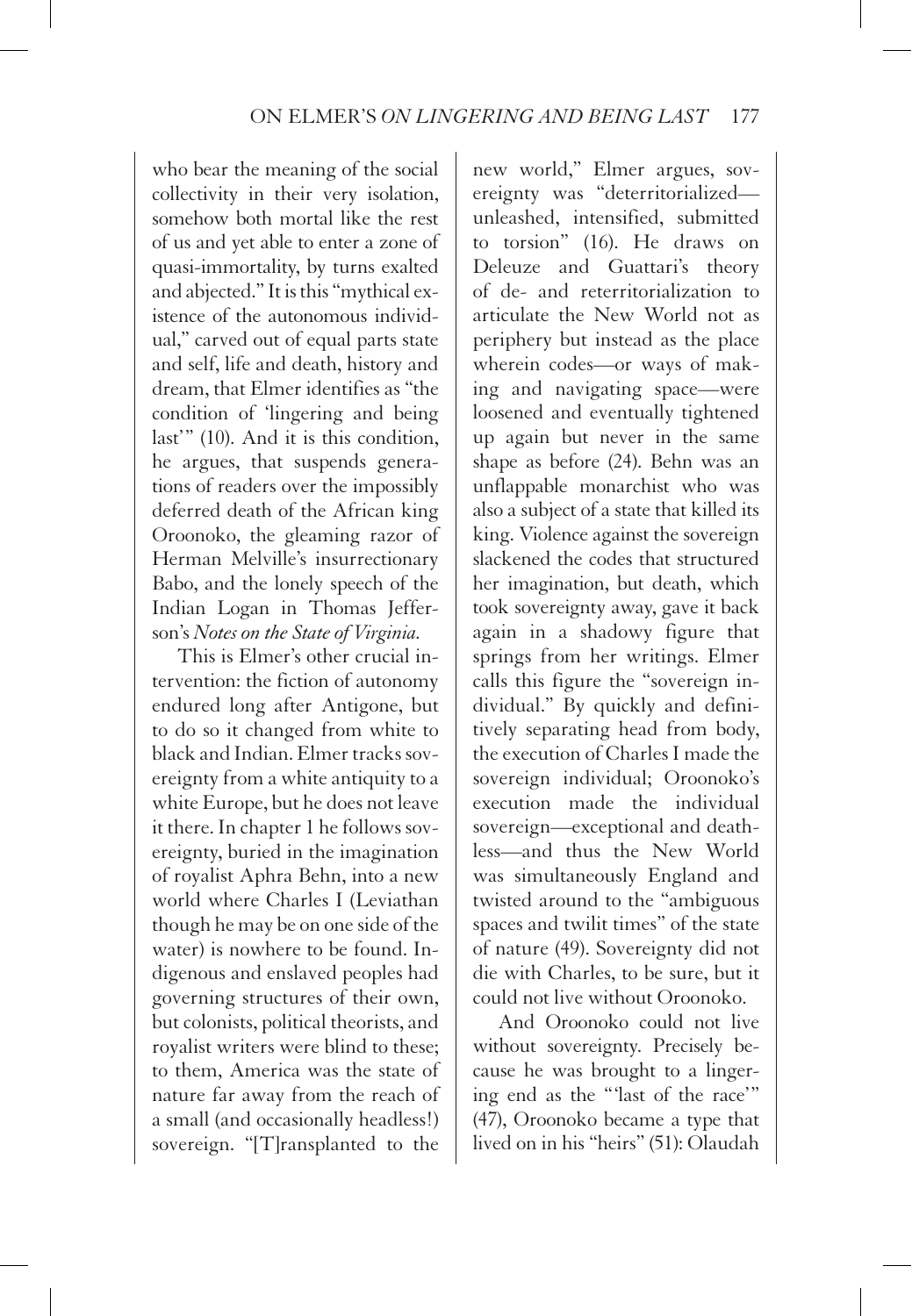who bear the meaning of the social collectivity in their very isolation, somehow both mortal like the rest of us and yet able to enter a zone of quasi-immortality, by turns exalted and abjected." It is this "mythical existence of the autonomous individual," carved out of equal parts state and self, life and death, history and dream, that Elmer identifies as "the condition of 'lingering and being last'" (10). And it is this condition, he argues, that suspends generations of readers over the impossibly deferred death of the African king Oroonoko, the gleaming razor of Herman Melville's insurrectionary Babo, and the lonely speech of the Indian Logan in Thomas Jefferson's *Notes on the State of Virginia.*

This is Elmer's other crucial intervention: the fiction of autonomy endured long after Antigone, but to do so it changed from white to black and Indian. Elmer tracks sovereignty from a white antiquity to a white Europe, but he does not leave it there. In chapter 1 he follows sovereignty, buried in the imagination of royalist Aphra Behn, into a new world where Charles I (Leviathan though he may be on one side of the water) is nowhere to be found. Indigenous and enslaved peoples had governing structures of their own, but colonists, political theorists, and royalist writers were blind to these; to them, America was the state of nature far away from the reach of a small (and occasionally headless!) sovereign. "[T]ransplanted to the

new world," Elmer argues, sovereignty was "deterritorialized unleashed, intensified, submitted to torsion" (16). He draws on Deleuze and Guattari's theory of de- and reterritorialization to articulate the New World not as periphery but instead as the place wherein codes—or ways of making and navigating space—were loosened and eventually tightened up again but never in the same shape as before (24). Behn was an unflappable monarchist who was also a subject of a state that killed its king. Violence against the sovereign slackened the codes that structured her imagination, but death, which took sovereignty away, gave it back again in a shadowy figure that springs from her writings. Elmer calls this figure the "sovereign individual." By quickly and definitively separating head from body, the execution of Charles I made the sovereign individual; Oroonoko's execution made the individual sovereign—exceptional and deathless—and thus the New World was simultaneously England and twisted around to the "ambiguous spaces and twilit times" of the state of nature (49). Sovereignty did not die with Charles, to be sure, but it could not live without Oroonoko.

And Oroonoko could not live without sovereignty. Precisely because he was brought to a lingering end as the "'last of the race'" (47), Oroonoko became a type that lived on in his "heirs" (51): Olaudah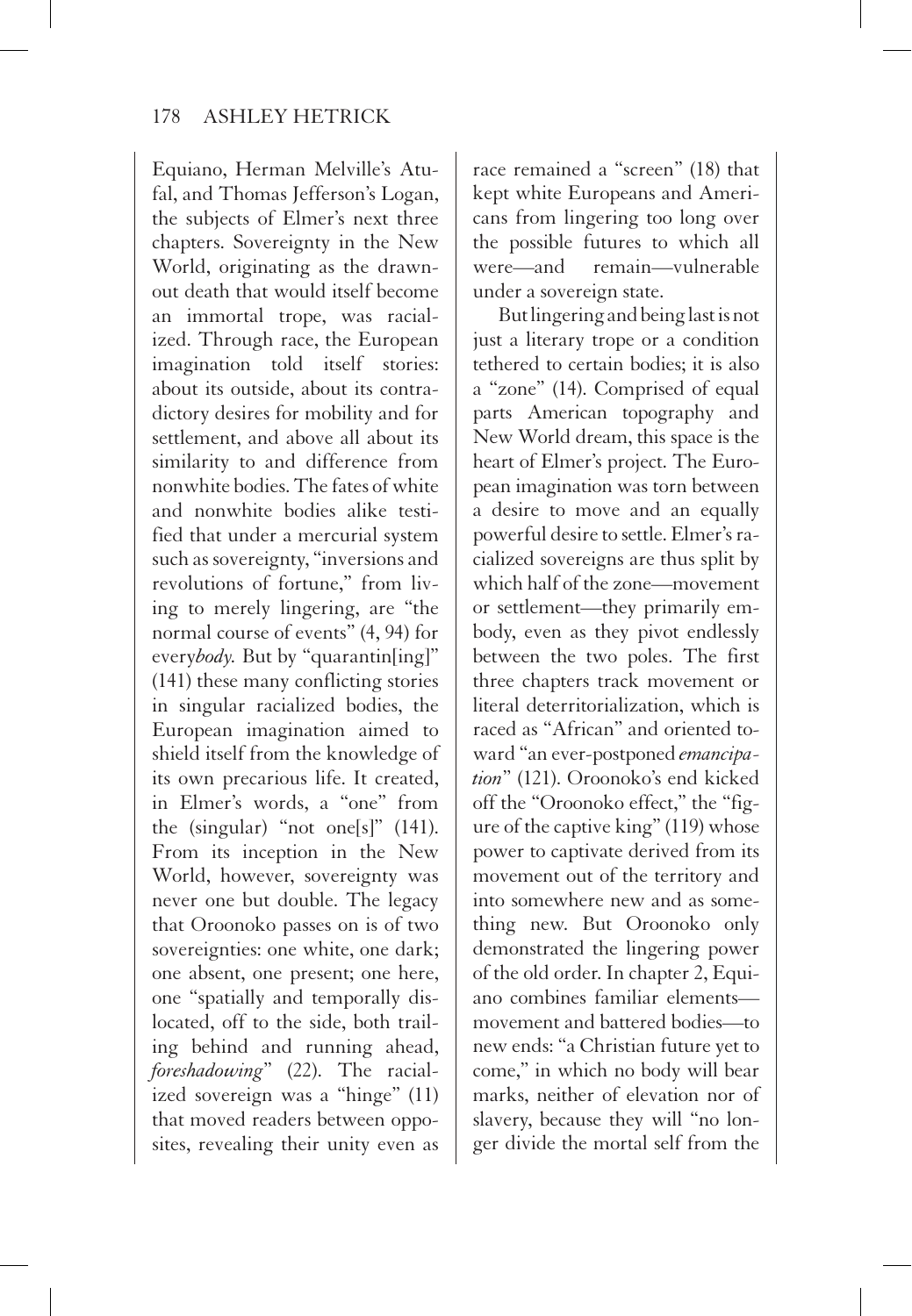Equiano, Herman Melville's Atufal, and Thomas Jefferson's Logan, the subjects of Elmer's next three chapters. Sovereignty in the New World, originating as the drawnout death that would itself become an immortal trope, was racialized. Through race, the European imagination told itself stories: about its outside, about its contradictory desires for mobility and for settlement, and above all about its similarity to and difference from nonwhite bodies. The fates of white and nonwhite bodies alike testified that under a mercurial system such as sovereignty, "inversions and revolutions of fortune," from living to merely lingering, are "the normal course of events" (4, 94) for every*body.* But by "quarantin[ing]" (141) these many conflicting stories in singular racialized bodies, the European imagination aimed to shield itself from the knowledge of its own precarious life. It created, in Elmer's words, a "one" from the (singular) "not one[s]" (141). From its inception in the New World, however, sovereignty was never one but double. The legacy that Oroonoko passes on is of two sovereignties: one white, one dark; one absent, one present; one here, one "spatially and temporally dislocated, off to the side, both trailing behind and running ahead, *foreshadowing*" (22). The racialized sovereign was a "hinge" (11) that moved readers between opposites, revealing their unity even as

race remained a "screen" (18) that kept white Europeans and Americans from lingering too long over the possible futures to which all were—and remain—vulnerable under a sovereign state.

But lingering and being last is not just a literary trope or a condition tethered to certain bodies; it is also a "zone" (14). Comprised of equal parts American topography and New World dream, this space is the heart of Elmer's project. The European imagination was torn between a desire to move and an equally powerful desire to settle. Elmer's racialized sovereigns are thus split by which half of the zone—movement or settlement—they primarily embody, even as they pivot endlessly between the two poles. The first three chapters track movement or literal deterritorialization, which is raced as "African" and oriented toward "an ever-postponed *emancipation*" (121). Oroonoko's end kicked off the "Oroonoko effect," the "figure of the captive king" (119) whose power to captivate derived from its movement out of the territory and into somewhere new and as something new. But Oroonoko only demonstrated the lingering power of the old order. In chapter 2, Equiano combines familiar elements movement and battered bodies—to new ends: "a Christian future yet to come," in which no body will bear marks, neither of elevation nor of slavery, because they will "no longer divide the mortal self from the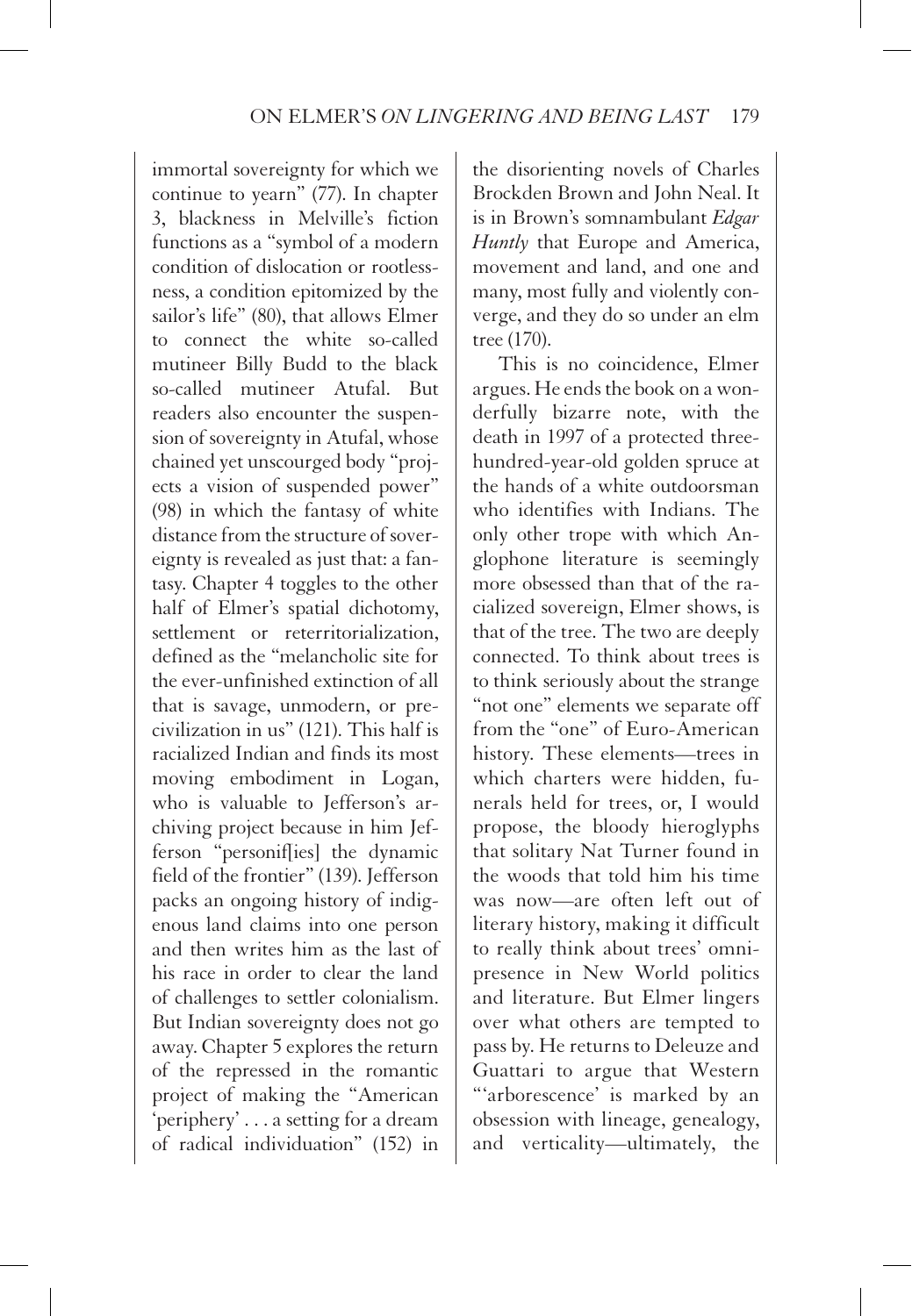immortal sovereignty for which we continue to yearn" (77). In chapter 3, blackness in Melville's fiction functions as a "symbol of a modern condition of dislocation or rootlessness, a condition epitomized by the sailor's life" (80), that allows Elmer to connect the white so-called mutineer Billy Budd to the black so-called mutineer Atufal. But readers also encounter the suspension of sovereignty in Atufal, whose chained yet unscourged body "projects a vision of suspended power" (98) in which the fantasy of white distance from the structure of sovereignty is revealed as just that: a fantasy. Chapter 4 toggles to the other half of Elmer's spatial dichotomy, settlement or reterritorialization, defined as the "melancholic site for the ever-unfinished extinction of all that is savage, unmodern, or precivilization in us" (121). This half is racialized Indian and finds its most moving embodiment in Logan, who is valuable to Jefferson's archiving project because in him Jefferson "personif[ies] the dynamic field of the frontier" (139). Jefferson packs an ongoing history of indigenous land claims into one person and then writes him as the last of his race in order to clear the land of challenges to settler colonialism. But Indian sovereignty does not go away. Chapter 5 explores the return of the repressed in the romantic project of making the "American 'periphery' . . . a setting for a dream of radical individuation" (152) in

the disorienting novels of Charles Brockden Brown and John Neal. It is in Brown's somnambulant *Edgar Huntly* that Europe and America, movement and land, and one and many, most fully and violently converge, and they do so under an elm tree (170).

This is no coincidence, Elmer argues. He ends the book on a wonderfully bizarre note, with the death in 1997 of a protected threehundred-year-old golden spruce at the hands of a white outdoorsman who identifies with Indians. The only other trope with which Anglophone literature is seemingly more obsessed than that of the racialized sovereign, Elmer shows, is that of the tree. The two are deeply connected. To think about trees is to think seriously about the strange "not one" elements we separate off from the "one" of Euro-American history. These elements—trees in which charters were hidden, funerals held for trees, or, I would propose, the bloody hieroglyphs that solitary Nat Turner found in the woods that told him his time was now—are often left out of literary history, making it difficult to really think about trees' omnipresence in New World politics and literature. But Elmer lingers over what others are tempted to pass by. He returns to Deleuze and Guattari to argue that Western "'arborescence' is marked by an obsession with lineage, genealogy, and verticality—ultimately, the